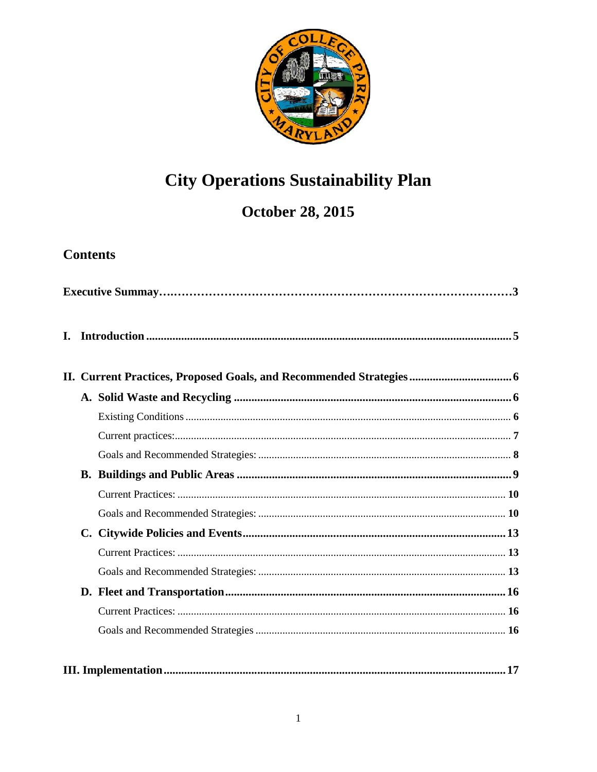

# **City Operations Sustainability Plan**

# **October 28, 2015**

## **Contents**

| L. |  |  |  |  |
|----|--|--|--|--|
|    |  |  |  |  |
|    |  |  |  |  |
|    |  |  |  |  |
|    |  |  |  |  |
|    |  |  |  |  |
|    |  |  |  |  |
|    |  |  |  |  |
|    |  |  |  |  |
|    |  |  |  |  |
|    |  |  |  |  |
|    |  |  |  |  |
|    |  |  |  |  |
|    |  |  |  |  |
|    |  |  |  |  |
|    |  |  |  |  |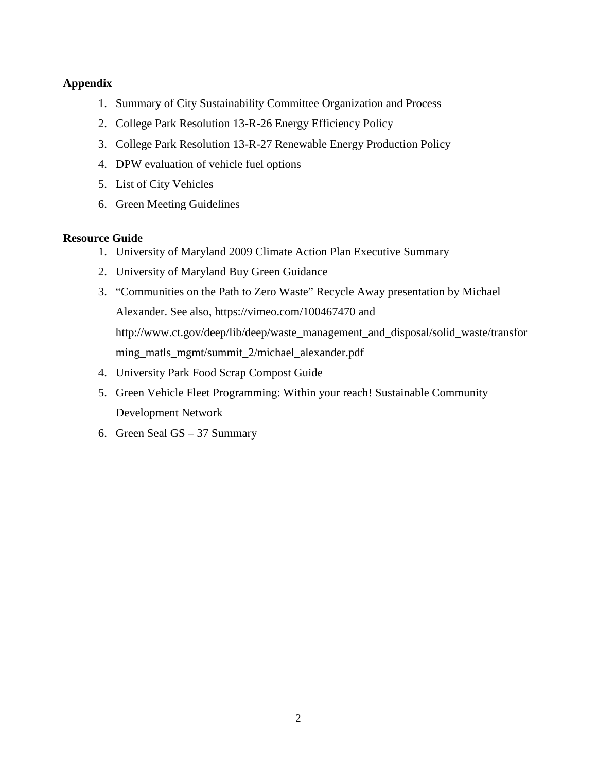#### **Appendix**

- 1. Summary of City Sustainability Committee Organization and Process
- 2. College Park Resolution 13-R-26 Energy Efficiency Policy
- 3. College Park Resolution 13-R-27 Renewable Energy Production Policy
- 4. DPW evaluation of vehicle fuel options
- 5. List of City Vehicles
- 6. Green Meeting Guidelines

#### **Resource Guide**

- 1. University of Maryland 2009 Climate Action Plan Executive Summary
- 2. University of Maryland Buy Green Guidance
- 3. "Communities on the Path to Zero Waste" Recycle Away presentation by Michael Alexander. See also, https://vimeo.com/100467470 and http://www.ct.gov/deep/lib/deep/waste\_management\_and\_disposal/solid\_waste/transfor ming\_matls\_mgmt/summit\_2/michael\_alexander.pdf
- 4. University Park Food Scrap Compost Guide
- 5. Green Vehicle Fleet Programming: Within your reach! Sustainable Community Development Network
- 6. Green Seal GS 37 Summary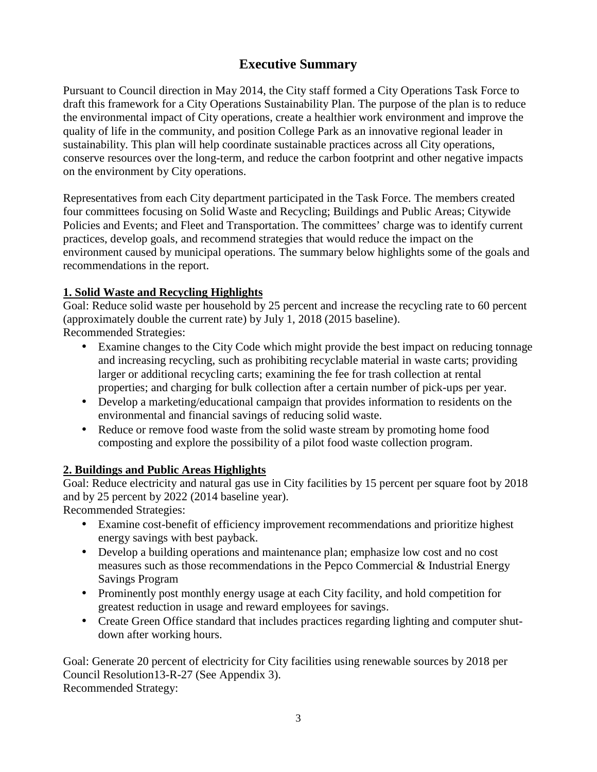### **Executive Summary**

Pursuant to Council direction in May 2014, the City staff formed a City Operations Task Force to draft this framework for a City Operations Sustainability Plan. The purpose of the plan is to reduce the environmental impact of City operations, create a healthier work environment and improve the quality of life in the community, and position College Park as an innovative regional leader in sustainability. This plan will help coordinate sustainable practices across all City operations, conserve resources over the long-term, and reduce the carbon footprint and other negative impacts on the environment by City operations.

Representatives from each City department participated in the Task Force. The members created four committees focusing on Solid Waste and Recycling; Buildings and Public Areas; Citywide Policies and Events; and Fleet and Transportation. The committees' charge was to identify current practices, develop goals, and recommend strategies that would reduce the impact on the environment caused by municipal operations. The summary below highlights some of the goals and recommendations in the report.

### **1. Solid Waste and Recycling Highlights**

Goal: Reduce solid waste per household by 25 percent and increase the recycling rate to 60 percent (approximately double the current rate) by July 1, 2018 (2015 baseline). Recommended Strategies:

- Examine changes to the City Code which might provide the best impact on reducing tonnage and increasing recycling, such as prohibiting recyclable material in waste carts; providing larger or additional recycling carts; examining the fee for trash collection at rental properties; and charging for bulk collection after a certain number of pick-ups per year.
- Develop a marketing/educational campaign that provides information to residents on the environmental and financial savings of reducing solid waste.
- Reduce or remove food waste from the solid waste stream by promoting home food composting and explore the possibility of a pilot food waste collection program.

### **2. Buildings and Public Areas Highlights**

Goal: Reduce electricity and natural gas use in City facilities by 15 percent per square foot by 2018 and by 25 percent by 2022 (2014 baseline year).

Recommended Strategies:

- Examine cost-benefit of efficiency improvement recommendations and prioritize highest energy savings with best payback.
- Develop a building operations and maintenance plan; emphasize low cost and no cost measures such as those recommendations in the Pepco Commercial & Industrial Energy Savings Program
- Prominently post monthly energy usage at each City facility, and hold competition for greatest reduction in usage and reward employees for savings.
- Create Green Office standard that includes practices regarding lighting and computer shut down after working hours.

Goal: Generate 20 percent of electricity for City facilities using renewable sources by 2018 per Council Resolution13-R-27 (See Appendix 3). Recommended Strategy: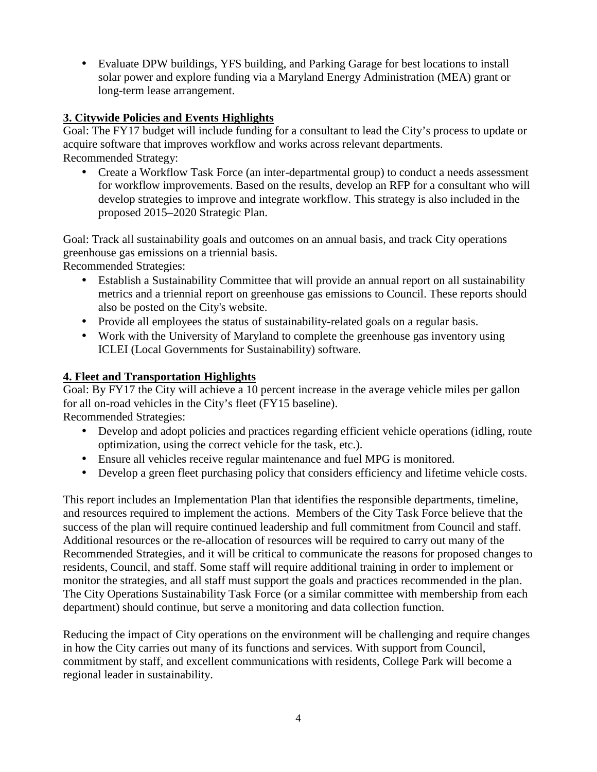Evaluate DPW buildings, YFS building, and Parking Garage for best locations to install solar power and explore funding via a Maryland Energy Administration (MEA) grant or long-term lease arrangement.

### **3. Citywide Policies and Events Highlights**

Goal: The FY17 budget will include funding for a consultant to lead the City's process to update or acquire software that improves workflow and works across relevant departments. Recommended Strategy:

• Create a Workflow Task Force (an inter-departmental group) to conduct a needs assessment for workflow improvements. Based on the results, develop an RFP for a consultant who will develop strategies to improve and integrate workflow. This strategy is also included in the proposed 2015–2020 Strategic Plan.

Goal: Track all sustainability goals and outcomes on an annual basis, and track City operations greenhouse gas emissions on a triennial basis.

Recommended Strategies:

- Establish a Sustainability Committee that will provide an annual report on all sustainability metrics and a triennial report on greenhouse gas emissions to Council. These reports should also be posted on the City's website.
- Provide all employees the status of sustainability-related goals on a regular basis.
- Work with the University of Maryland to complete the greenhouse gas inventory using ICLEI (Local Governments for Sustainability) software.

### **4. Fleet and Transportation Highlights**

Goal: By FY17 the City will achieve a 10 percent increase in the average vehicle miles per gallon for all on-road vehicles in the City's fleet (FY15 baseline). Recommended Strategies:

- Develop and adopt policies and practices regarding efficient vehicle operations (idling, route optimization, using the correct vehicle for the task, etc.).
- Ensure all vehicles receive regular maintenance and fuel MPG is monitored.
- Develop a green fleet purchasing policy that considers efficiency and lifetime vehicle costs.

This report includes an Implementation Plan that identifies the responsible departments, timeline, and resources required to implement the actions. Members of the City Task Force believe that the success of the plan will require continued leadership and full commitment from Council and staff. Additional resources or the re-allocation of resources will be required to carry out many of the Recommended Strategies, and it will be critical to communicate the reasons for proposed changes to residents, Council, and staff. Some staff will require additional training in order to implement or monitor the strategies, and all staff must support the goals and practices recommended in the plan. The City Operations Sustainability Task Force (or a similar committee with membership from each department) should continue, but serve a monitoring and data collection function.

Reducing the impact of City operations on the environment will be challenging and require changes in how the City carries out many of its functions and services. With support from Council, commitment by staff, and excellent communications with residents, College Park will become a regional leader in sustainability.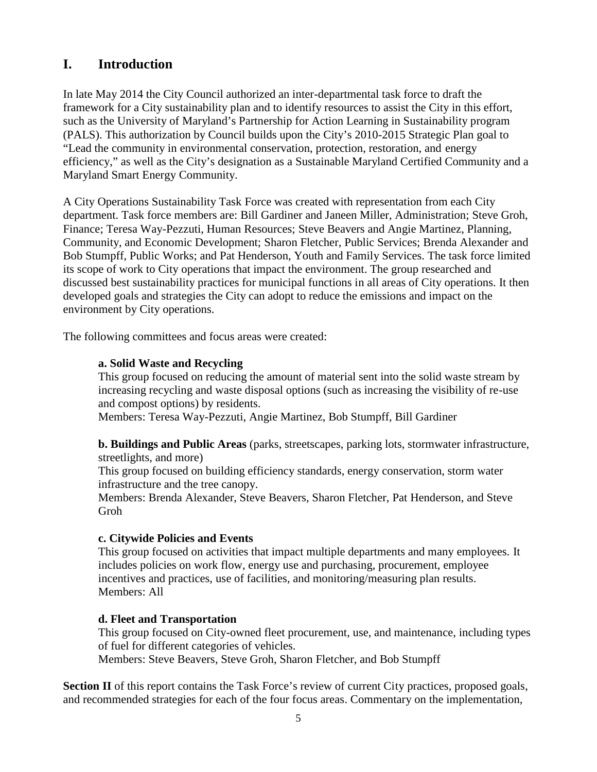### **I. Introduction**

In late May 2014 the City Council authorized an inter-departmental task force to draft the framework for a City sustainability plan and to identify resources to assist the City in this effort, such as the University of Maryland's Partnership for Action Learning in Sustainability program (PALS). This authorization by Council builds upon the City's 2010-2015 Strategic Plan goal to "Lead the community in environmental conservation, protection, restoration, and energy efficiency," as well as the City's designation as a Sustainable Maryland Certified Community and a Maryland Smart Energy Community.

A City Operations Sustainability Task Force was created with representation from each City department. Task force members are: Bill Gardiner and Janeen Miller, Administration; Steve Groh, Finance; Teresa Way-Pezzuti, Human Resources; Steve Beavers and Angie Martinez, Planning, Community, and Economic Development; Sharon Fletcher, Public Services; Brenda Alexander and Bob Stumpff, Public Works; and Pat Henderson, Youth and Family Services. The task force limited its scope of work to City operations that impact the environment. The group researched and discussed best sustainability practices for municipal functions in all areas of City operations. It then developed goals and strategies the City can adopt to reduce the emissions and impact on the environment by City operations.

The following committees and focus areas were created:

#### **a. Solid Waste and Recycling**

This group focused on reducing the amount of material sent into the solid waste stream by increasing recycling and waste disposal options (such as increasing the visibility of re-use and compost options) by residents.

Members: Teresa Way-Pezzuti, Angie Martinez, Bob Stumpff, Bill Gardiner

**b. Buildings and Public Areas** (parks, streetscapes, parking lots, stormwater infrastructure, streetlights, and more)

This group focused on building efficiency standards, energy conservation, storm water infrastructure and the tree canopy.

Members: Brenda Alexander, Steve Beavers, Sharon Fletcher, Pat Henderson, and Steve Groh

#### **c. Citywide Policies and Events**

This group focused on activities that impact multiple departments and many employees. It includes policies on work flow, energy use and purchasing, procurement, employee incentives and practices, use of facilities, and monitoring/measuring plan results. Members: All

#### **d. Fleet and Transportation**

This group focused on City-owned fleet procurement, use, and maintenance, including types of fuel for different categories of vehicles.

Members: Steve Beavers, Steve Groh, Sharon Fletcher, and Bob Stumpff

Section **II** of this report contains the Task Force's review of current City practices, proposed goals, and recommended strategies for each of the four focus areas. Commentary on the implementation,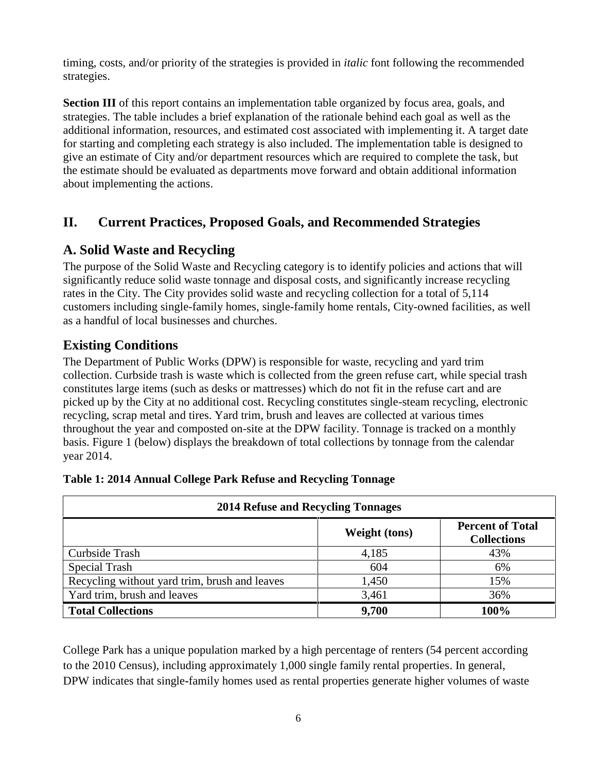timing, costs, and/or priority of the strategies is provided in *italic* font following the recommended strategies.

**Section <b>III** of this report contains an implementation table organized by focus area, goals, and strategies. The table includes a brief explanation of the rationale behind each goal as well as the additional information, resources, and estimated cost associated with implementing it. A target date for starting and completing each strategy is also included. The implementation table is designed to give an estimate of City and/or department resources which are required to complete the task, but the estimate should be evaluated as departments move forward and obtain additional information about implementing the actions.

### **II. Current Practices, Proposed Goals, and Recommended Strategies**

### **A. Solid Waste and Recycling**

The purpose of the Solid Waste and Recycling category is to identify policies and actions that will significantly reduce solid waste tonnage and disposal costs, and significantly increase recycling rates in the City. The City provides solid waste and recycling collection for a total of 5,114 customers including single-family homes, single-family home rentals, City-owned facilities, as well as a handful of local businesses and churches.

### **Existing Conditions**

The Department of Public Works (DPW) is responsible for waste, recycling and yard trim collection. Curbside trash is waste which is collected from the green refuse cart, while special trash constitutes large items (such as desks or mattresses) which do not fit in the refuse cart and are picked up by the City at no additional cost. Recycling constitutes single-steam recycling, electronic recycling, scrap metal and tires. Yard trim, brush and leaves are collected at various times throughout the year and composted on-site at the DPW facility. Tonnage is tracked on a monthly basis. Figure 1 (below) displays the breakdown of total collections by tonnage from the calendar year 2014.

| <b>2014 Refuse and Recycling Tonnages</b>     |                      |                                               |  |
|-----------------------------------------------|----------------------|-----------------------------------------------|--|
|                                               | <b>Weight (tons)</b> | <b>Percent of Total</b><br><b>Collections</b> |  |
| Curbside Trash                                | 4,185                | 43%                                           |  |
| Special Trash                                 | 604                  | 6%                                            |  |
| Recycling without yard trim, brush and leaves | 1,450                | 15%                                           |  |
| Yard trim, brush and leaves                   | 3,461                | 36%                                           |  |
| <b>Total Collections</b>                      | 9,700                | 100%                                          |  |

#### **Table 1: 2014 Annual College Park Refuse and Recycling Tonnage**

College Park has a unique population marked by a high percentage of renters (54 percent according to the 2010 Census), including approximately 1,000 single family rental properties. In general, DPW indicates that single**-**family homes used as rental properties generate higher volumes of waste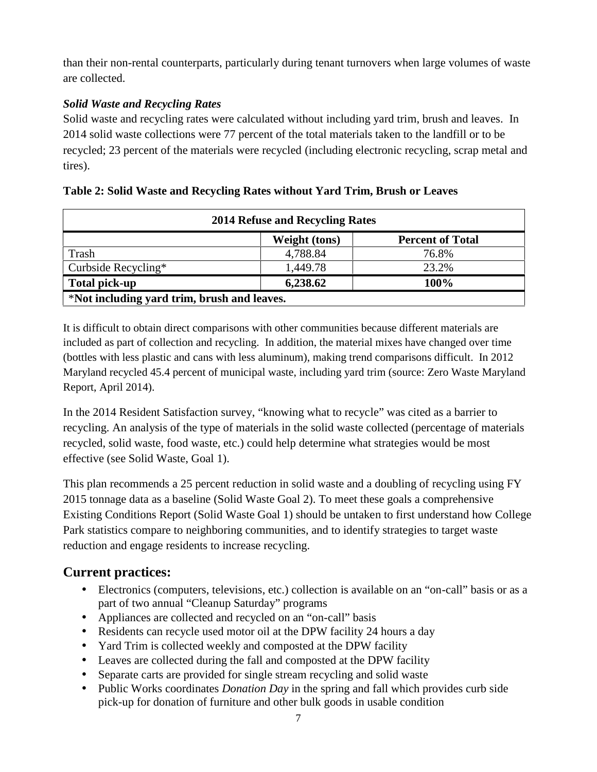than their non-rental counterparts, particularly during tenant turnovers when large volumes of waste are collected.

### *Solid Waste and Recycling Rates*

Solid waste and recycling rates were calculated without including yard trim, brush and leaves. In 2014 solid waste collections were 77 percent of the total materials taken to the landfill or to be recycled; 23 percent of the materials were recycled (including electronic recycling, scrap metal and tires).

|                                             | 2014 Refuse and Recycling Rates |                         |  |  |
|---------------------------------------------|---------------------------------|-------------------------|--|--|
|                                             | Weight (tons)                   | <b>Percent of Total</b> |  |  |
| Trash                                       | 4,788.84                        | 76.8%                   |  |  |
| Curbside Recycling*                         | 1,449.78                        | 23.2%                   |  |  |
| <b>Total pick-up</b>                        | 6,238.62                        | 100%                    |  |  |
| *Not including yard trim, brush and leaves. |                                 |                         |  |  |

### **Table 2: Solid Waste and Recycling Rates without Yard Trim, Brush or Leaves**

It is difficult to obtain direct comparisons with other communities because different materials are included as part of collection and recycling. In addition, the material mixes have changed over time (bottles with less plastic and cans with less aluminum), making trend comparisons difficult. In 2012 Maryland recycled 45.4 percent of municipal waste, including yard trim (source: Zero Waste Maryland Report, April 2014).

In the 2014 Resident Satisfaction survey, "knowing what to recycle" was cited as a barrier to recycling. An analysis of the type of materials in the solid waste collected (percentage of materials recycled, solid waste, food waste, etc.) could help determine what strategies would be most effective (see Solid Waste, Goal 1).

This plan recommends a 25 percent reduction in solid waste and a doubling of recycling using FY 2015 tonnage data as a baseline (Solid Waste Goal 2). To meet these goals a comprehensive Existing Conditions Report (Solid Waste Goal 1) should be untaken to first understand how College Park statistics compare to neighboring communities, and to identify strategies to target waste reduction and engage residents to increase recycling.

### **Current practices:**

- Electronics (computers, televisions, etc.) collection is available on an "on-call" basis or as a part of two annual "Cleanup Saturday" programs
- Appliances are collected and recycled on an "on-call" basis
- Residents can recycle used motor oil at the DPW facility 24 hours a day
- Yard Trim is collected weekly and composted at the DPW facility
- Leaves are collected during the fall and composted at the DPW facility
- Separate carts are provided for single stream recycling and solid waste
- Public Works coordinates *Donation Day* in the spring and fall which provides curb side pick-up for donation of furniture and other bulk goods in usable condition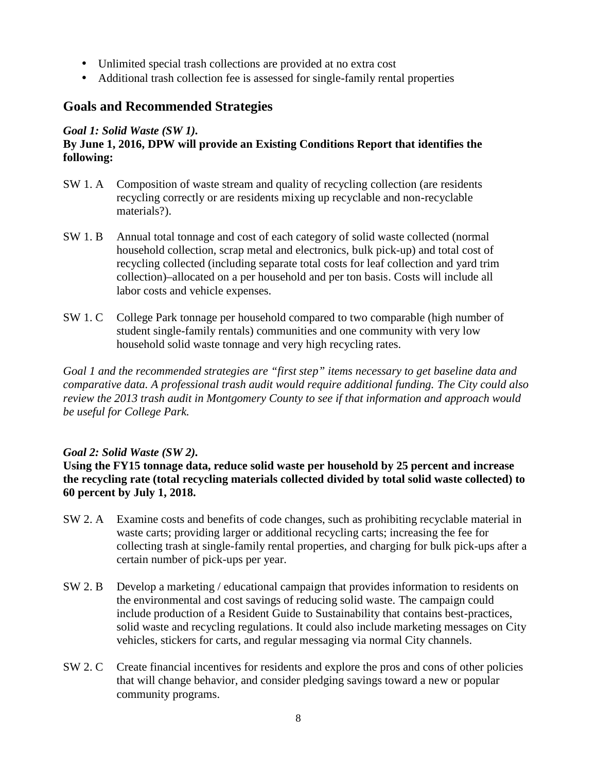- Unlimited special trash collections are provided at no extra cost
- Additional trash collection fee is assessed for single-family rental properties

### **Goals and Recommended Strategies**

#### *Goal 1: Solid Waste (SW 1).*

### **By June 1, 2016, DPW will provide an Existing Conditions Report that identifies the following:**

- SW 1. A Composition of waste stream and quality of recycling collection (are residents recycling correctly or are residents mixing up recyclable and non-recyclable materials?).
- SW 1. B Annual total tonnage and cost of each category of solid waste collected (normal household collection, scrap metal and electronics, bulk pick-up) and total cost of recycling collected (including separate total costs for leaf collection and yard trim collection)–allocated on a per household and per ton basis. Costs will include all labor costs and vehicle expenses.
- SW 1. C College Park tonnage per household compared to two comparable (high number of student single-family rentals) communities and one community with very low household solid waste tonnage and very high recycling rates.

*Goal 1 and the recommended strategies are "first step" items necessary to get baseline data and comparative data. A professional trash audit would require additional funding. The City could also review the 2013 trash audit in Montgomery County to see if that information and approach would be useful for College Park.*

### *Goal 2: Solid Waste (SW 2).*

### **Using the FY15 tonnage data, reduce solid waste per household by 25 percent and increase the recycling rate (total recycling materials collected divided by total solid waste collected) to 60 percent by July 1, 2018.**

- SW 2. A Examine costs and benefits of code changes, such as prohibiting recyclable material in waste carts; providing larger or additional recycling carts; increasing the fee for collecting trash at single-family rental properties, and charging for bulk pick-ups after a certain number of pick-ups per year.
- SW 2. B Develop a marketing / educational campaign that provides information to residents on the environmental and cost savings of reducing solid waste. The campaign could include production of a Resident Guide to Sustainability that contains best-practices, solid waste and recycling regulations. It could also include marketing messages on City vehicles, stickers for carts, and regular messaging via normal City channels.
- SW 2. C Create financial incentives for residents and explore the pros and cons of other policies that will change behavior, and consider pledging savings toward a new or popular community programs.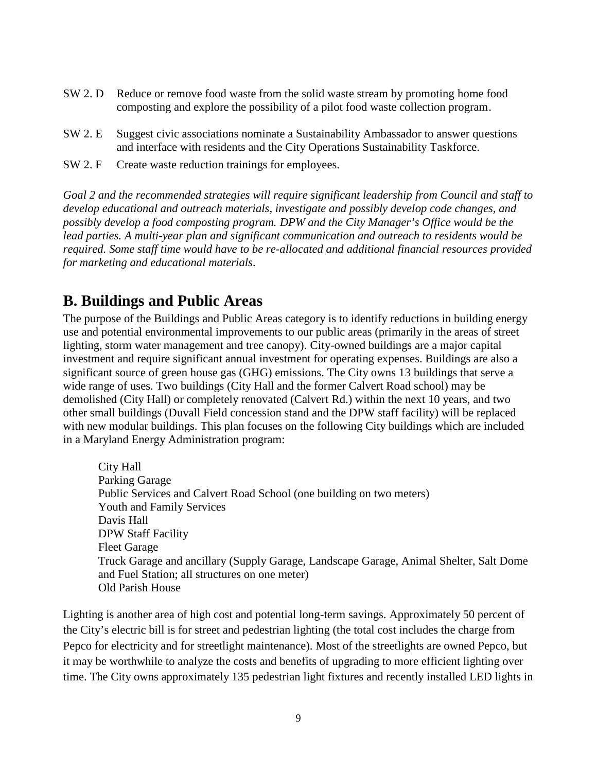- SW 2. D Reduce or remove food waste from the solid waste stream by promoting home food composting and explore the possibility of a pilot food waste collection program.
- SW 2. E Suggest civic associations nominate a Sustainability Ambassador to answer questions and interface with residents and the City Operations Sustainability Taskforce.
- SW 2. F Create waste reduction trainings for employees.

*Goal 2 and the recommended strategies will require significant leadership from Council and staff to develop educational and outreach materials, investigate and possibly develop code changes, and possibly develop a food composting program. DPW and the City Manager's Office would be the lead parties. A multi-year plan and significant communication and outreach to residents would be required. Some staff time would have to be re-allocated and additional financial resources provided for marketing and educational materials.*

## **B. Buildings and Public Areas**

The purpose of the Buildings and Public Areas category is to identify reductions in building energy use and potential environmental improvements to our public areas (primarily in the areas of street lighting, storm water management and tree canopy). City-owned buildings are a major capital investment and require significant annual investment for operating expenses. Buildings are also a significant source of green house gas (GHG) emissions. The City owns 13 buildings that serve a wide range of uses. Two buildings (City Hall and the former Calvert Road school) may be demolished (City Hall) or completely renovated (Calvert Rd.) within the next 10 years, and two other small buildings (Duvall Field concession stand and the DPW staff facility) will be replaced with new modular buildings. This plan focuses on the following City buildings which are included in a Maryland Energy Administration program:

City Hall Parking Garage Public Services and Calvert Road School (one building on two meters) Youth and Family Services Davis Hall DPW Staff Facility Fleet Garage Truck Garage and ancillary (Supply Garage, Landscape Garage, Animal Shelter, Salt Dome and Fuel Station; all structures on one meter) Old Parish House

Lighting is another area of high cost and potential long-term savings. Approximately 50 percent of the City's electric bill is for street and pedestrian lighting (the total cost includes the charge from Pepco for electricity and for streetlight maintenance). Most of the streetlights are owned Pepco, but it may be worthwhile to analyze the costs and benefits of upgrading to more efficient lighting over time. The City owns approximately 135 pedestrian light fixtures and recently installed LED lights in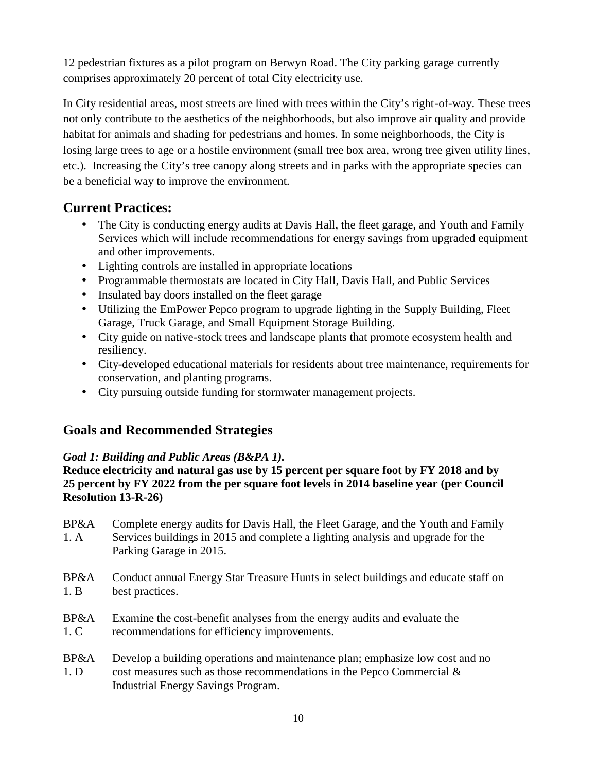12 pedestrian fixtures as a pilot program on Berwyn Road. The City parking garage currently comprises approximately 20 percent of total City electricity use.

In City residential areas, most streets are lined with trees within the City's right-of-way. These trees not only contribute to the aesthetics of the neighborhoods, but also improve air quality and provide habitat for animals and shading for pedestrians and homes. In some neighborhoods, the City is losing large trees to age or a hostile environment (small tree box area, wrong tree given utility lines, etc.). Increasing the City's tree canopy along streets and in parks with the appropriate species can be a beneficial way to improve the environment.

### **Current Practices:**

- The City is conducting energy audits at Davis Hall, the fleet garage, and Youth and Family Services which will include recommendations for energy savings from upgraded equipment and other improvements.
- Lighting controls are installed in appropriate locations
- Programmable thermostats are located in City Hall, Davis Hall, and Public Services
- Insulated bay doors installed on the fleet garage
- Utilizing the EmPower Pepco program to upgrade lighting in the Supply Building, Fleet Garage, Truck Garage, and Small Equipment Storage Building.
- City guide on native-stock trees and landscape plants that promote ecosystem health and resiliency.
- City-developed educational materials for residents about tree maintenance, requirements for conservation, and planting programs.
- City pursuing outside funding for stormwater management projects.

### **Goals and Recommended Strategies**

### *Goal 1: Building and Public Areas (B&PA 1).*

**Reduce electricity and natural gas use by 15 percent per square foot by FY 2018 and by 25 percent by FY 2022 from the per square foot levels in 2014 baseline year (per Council Resolution 13-R-26)**

- BP&A Complete energy audits for Davis Hall, the Fleet Garage, and the Youth and Family 1. A Services buildings in 2015 and complete a lighting analysis and upgrade for the Parking Garage in 2015.
- BP&A Conduct annual Energy Star Treasure Hunts in select buildings and educate staff on 1. B best practices.
- BP&A Examine the cost-benefit analyses from the energy audits and evaluate the 1. C recommendations for efficiency improvements.
- BP&A Develop a building operations and maintenance plan; emphasize low cost and no 1. D cost measures such as those recommendations in the Pepco Commercial & Industrial Energy Savings Program.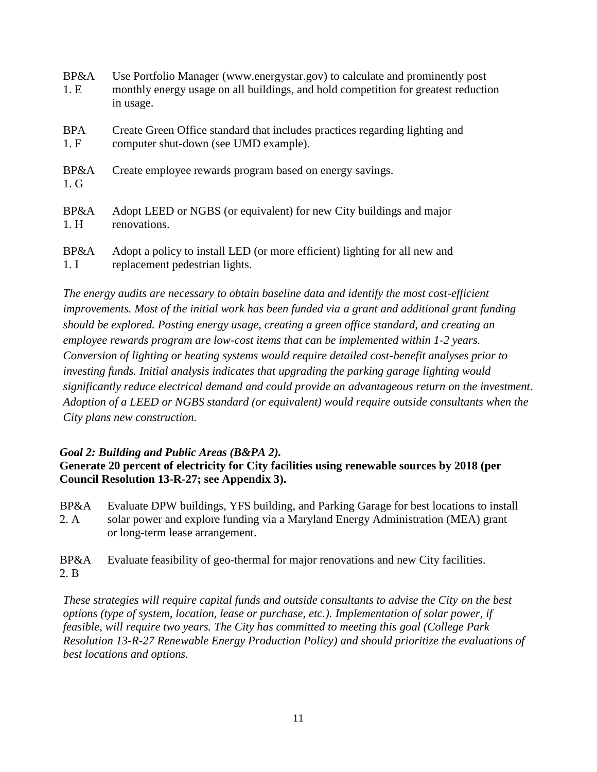| <b>BP&amp;A</b><br>1.E | Use Portfolio Manager (www.energystar.gov) to calculate and prominently post<br>monthly energy usage on all buildings, and hold competition for greatest reduction<br>in usage. |
|------------------------|---------------------------------------------------------------------------------------------------------------------------------------------------------------------------------|
| <b>BPA</b><br>1.F      | Create Green Office standard that includes practices regarding lighting and<br>computer shut-down (see UMD example).                                                            |
| BP&A<br>$1. \, G$      | Create employee rewards program based on energy savings.                                                                                                                        |
| BP&A<br>1.H            | Adopt LEED or NGBS (or equivalent) for new City buildings and major<br>renovations.                                                                                             |
| BP&A                   | Adopt a policy to install LED (or more efficient) lighting for all new and                                                                                                      |

1. I replacement pedestrian lights.

*The energy audits are necessary to obtain baseline data and identify the most cost-efficient improvements. Most of the initial work has been funded via a grant and additional grant funding should be explored. Posting energy usage, creating a green office standard, and creating an employee rewards program are low-cost items that can be implemented within 1-2 years. Conversion of lighting or heating systems would require detailed cost-benefit analyses prior to investing funds. Initial analysis indicates that upgrading the parking garage lighting would significantly reduce electrical demand and could provide an advantageous return on the investment. Adoption of a LEED or NGBS standard (or equivalent) would require outside consultants when the City plans new construction.*

#### *Goal 2: Building and Public Areas (B&PA 2).* **Generate 20 percent of electricity for City facilities using renewable sources by 2018 (per Council Resolution 13-R-27; see Appendix 3).**

BP&A Evaluate DPW buildings, YFS building, and Parking Garage for best locations to install 2. A solar power and explore funding via a Maryland Energy Administration (MEA) grant or long-term lease arrangement.

BP&A Evaluate feasibility of geo-thermal for major renovations and new City facilities. 2. B

*These strategies will require capital funds and outside consultants to advise the City on the best options (type of system, location, lease or purchase, etc.). Implementation of solar power, if feasible, will require two years. The City has committed to meeting this goal (College Park Resolution 13-R-27 Renewable Energy Production Policy) and should prioritize the evaluations of best locations and options.*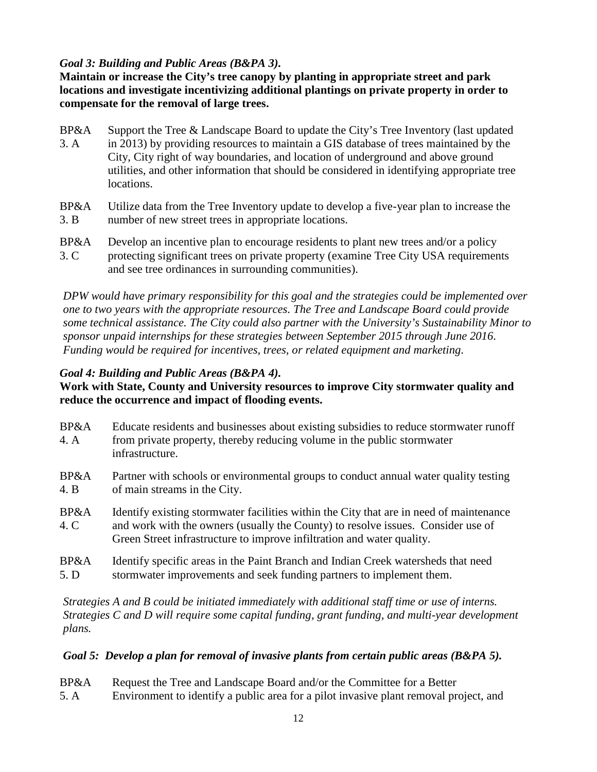### *Goal 3: Building and Public Areas (B&PA 3).*

**Maintain or increase the City's tree canopy by planting in appropriate street and park locations and investigate incentivizing additional plantings on private property in order to compensate for the removal of large trees.**

- BP&A Support the Tree & Landscape Board to update the City's Tree Inventory (last updated 3. A in 2013) by providing resources to maintain a GIS database of trees maintained by the City, City right of way boundaries, and location of underground and above ground utilities, and other information that should be considered in identifying appropriate tree locations.
- BP&A Utilize data from the Tree Inventory update to develop a five-year plan to increase the 3. B number of new street trees in appropriate locations.
- BP&A Develop an incentive plan to encourage residents to plant new trees and/or a policy 3. C protecting significant trees on private property (examine Tree City USA requirements and see tree ordinances in surrounding communities).

*DPW would have primary responsibility for this goal and the strategies could be implemented over one to two years with the appropriate resources. The Tree and Landscape Board could provide some technical assistance. The City could also partner with the University's Sustainability Minor to sponsor unpaid internships for these strategies between September 2015 through June 2016. Funding would be required for incentives, trees, or related equipment and marketing.*

### *Goal 4: Building and Public Areas (B&PA 4).*

### **Work with State, County and University resources to improve City stormwater quality and reduce the occurrence and impact of flooding events.**

- BP&A Educate residents and businesses about existing subsidies to reduce stormwater runoff 4. A from private property, thereby reducing volume in the public stormwater infrastructure.
- BP&A Partner with schools or environmental groups to conduct annual water quality testing 4. B of main streams in the City.
- BP&A Identify existing stormwater facilities within the City that are in need of maintenance 4. C and work with the owners (usually the County) to resolve issues. Consider use of Green Street infrastructure to improve infiltration and water quality.
- BP&A Identify specific areas in the Paint Branch and Indian Creek watersheds that need 5. D stormwater improvements and seek funding partners to implement them.

*Strategies A and B could be initiated immediately with additional staff time or use of interns. Strategies C and D will require some capital funding, grant funding, and multi-year development plans.*

#### *Goal 5: Develop a plan for removal of invasive plants from certain public areas (B&PA 5).*

- BP&A Request the Tree and Landscape Board and/or the Committee for a Better
- 5. A Environment to identify a public area for a pilot invasive plant removal project, and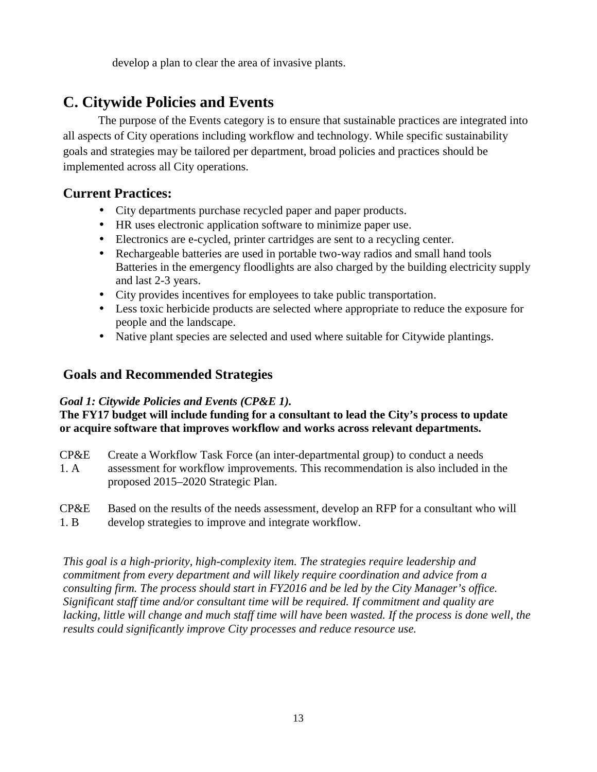develop a plan to clear the area of invasive plants.

# **C. Citywide Policies and Events**

The purpose of the Events category is to ensure that sustainable practices are integrated into all aspects of City operations including workflow and technology. While specific sustainability goals and strategies may be tailored per department, broad policies and practices should be implemented across all City operations.

### **Current Practices:**

- City departments purchase recycled paper and paper products.
- HR uses electronic application software to minimize paper use.
- Electronics are e-cycled, printer cartridges are sent to a recycling center.
- Rechargeable batteries are used in portable two-way radios and small hand tools Batteries in the emergency floodlights are also charged by the building electricity supply and last 2-3 years.
- City provides incentives for employees to take public transportation.
- Less toxic herbicide products are selected where appropriate to reduce the exposure for people and the landscape.
- Native plant species are selected and used where suitable for Citywide plantings.

### **Goals and Recommended Strategies**

### *Goal 1: Citywide Policies and Events (CP&E 1).*

**The FY17 budget will include funding for a consultant to lead the City's process to update or acquire software that improves workflow and works across relevant departments.**

- CP&E Create a Workflow Task Force (an inter-departmental group) to conduct a needs
- 1. A assessment for workflow improvements. This recommendation is also included in the proposed 2015–2020 Strategic Plan.
- CP&E Based on the results of the needs assessment, develop an RFP for a consultant who will
- 1. B develop strategies to improve and integrate workflow.

*This goal is a high-priority, high-complexity item. The strategies require leadership and commitment from every department and will likely require coordination and advice from a consulting firm. The process should start in FY2016 and be led by the City Manager's office. Significant staff time and/or consultant time will be required. If commitment and quality are lacking, little will change and much staff time will have been wasted. If the process is done well, the results could significantly improve City processes and reduce resource use.*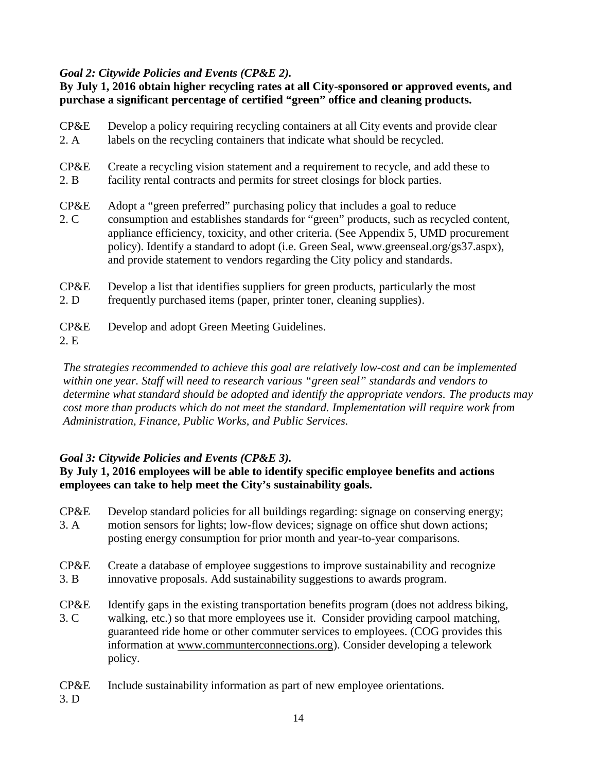### *Goal 2: Citywide Policies and Events (CP&E 2).*

**By July 1, 2016 obtain higher recycling rates at all City-sponsored or approved events, and purchase a significant percentage of certified "green" office and cleaning products.**

| CP&E         | Develop a policy requiring recycling containers at all City events and provide clear                                                                                                                                                                                                                                                                                                                                              |
|--------------|-----------------------------------------------------------------------------------------------------------------------------------------------------------------------------------------------------------------------------------------------------------------------------------------------------------------------------------------------------------------------------------------------------------------------------------|
| 2. A         | labels on the recycling containers that indicate what should be recycled.                                                                                                                                                                                                                                                                                                                                                         |
| CP&E         | Create a recycling vision statement and a requirement to recycle, and add these to                                                                                                                                                                                                                                                                                                                                                |
| 2. B         | facility rental contracts and permits for street closings for block parties.                                                                                                                                                                                                                                                                                                                                                      |
| CP&E<br>2. C | Adopt a "green preferred" purchasing policy that includes a goal to reduce<br>consumption and establishes standards for "green" products, such as recycled content,<br>appliance efficiency, toxicity, and other criteria. (See Appendix 5, UMD procurement<br>policy). Identify a standard to adopt (i.e. Green Seal, www.greenseal.org/gs37.aspx),<br>and provide statement to vendors regarding the City policy and standards. |
| CP&E         | Develop a list that identifies suppliers for green products, particularly the most<br>그 아이들은 그 사람들은 그 사람들을 사용하는 것이 아니라 그 사람들을 사용하는 것이 없다. 그 사람들은 그 사람들은 아이들에게 사람들을 지키며 아니라 그 사람들을 지키고 있다.                                                                                                                                                                                                                                         |

- 2. D frequently purchased items (paper, printer toner, cleaning supplies).
- CP&E Develop and adopt Green Meeting Guidelines.
- 2. E

*The strategies recommended to achieve this goal are relatively low-cost and can be implemented within one year. Staff will need to research various "green seal" standards and vendors to determine what standard should be adopted and identify the appropriate vendors. The products may cost more than products which do not meet the standard. Implementation will require work from Administration, Finance, Public Works, and Public Services.*

#### *Goal 3: Citywide Policies and Events (CP&E 3).*

#### **By July 1, 2016 employees will be able to identify specific employee benefits and actions employees can take to help meet the City's sustainability goals.**

- CP&E Develop standard policies for all buildings regarding: signage on conserving energy; 3. A motion sensors for lights; low-flow devices; signage on office shut down actions; posting energy consumption for prior month and year-to-year comparisons.
- CP&E Create a database of employee suggestions to improve sustainability and recognize 3. B innovative proposals. Add sustainability suggestions to awards program.
- CP&E Identify gaps in the existing transportation benefits program (does not address biking, 3. C walking, etc.) so that more employees use it. Consider providing carpool matching, guaranteed ride home or other commuter services to employees. (COG provides this information at www.communterconnections.org). Consider developing a telework policy.
- CP&E Include sustainability information as part of new employee orientations.
- 3. D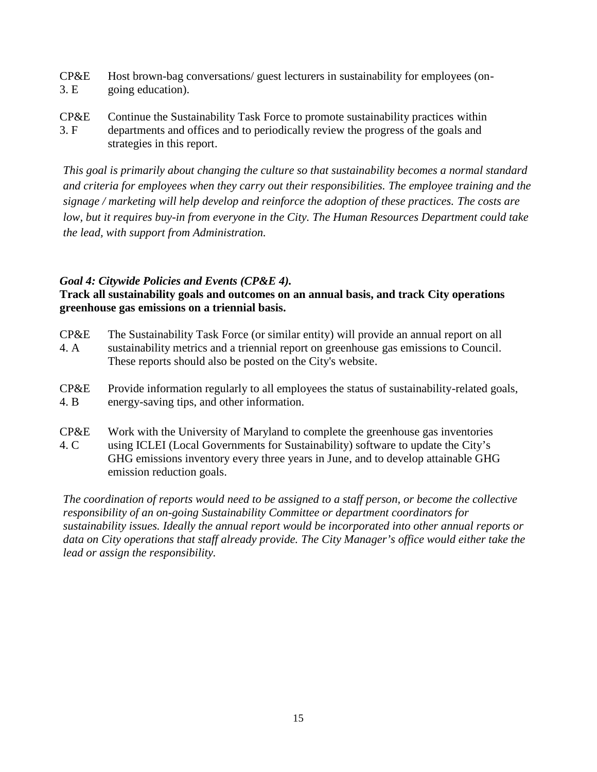- CP&E Host brown-bag conversations/ guest lecturers in sustainability for employees (on- 3. E going education).
- CP&E Continue the Sustainability Task Force to promote sustainability practices within 3. F departments and offices and to periodically review the progress of the goals and strategies in this report.

*This goal is primarily about changing the culture so that sustainability becomes a normal standard and criteria for employees when they carry out their responsibilities. The employee training and the signage / marketing will help develop and reinforce the adoption of these practices. The costs are low, but it requires buy-in from everyone in the City. The Human Resources Department could take the lead, with support from Administration.*

#### *Goal 4: Citywide Policies and Events (CP&E 4).*

**Track all sustainability goals and outcomes on an annual basis, and track City operations greenhouse gas emissions on a triennial basis.**

- CP&E The Sustainability Task Force (or similar entity) will provide an annual report on all 4. A sustainability metrics and a triennial report on greenhouse gas emissions to Council. These reports should also be posted on the City's website.
- CP&E Provide information regularly to all employees the status of sustainability-related goals, 4. B energy-saving tips, and other information.
- CP&E Work with the University of Maryland to complete the greenhouse gas inventories 4. C using ICLEI (Local Governments for Sustainability) software to update the City's GHG emissions inventory every three years in June, and to develop attainable GHG emission reduction goals.

*The coordination of reports would need to be assigned to a staff person, or become the collective responsibility of an on-going Sustainability Committee or department coordinators for sustainability issues. Ideally the annual report would be incorporated into other annual reports or data on City operations that staff already provide. The City Manager's office would either take the lead or assign the responsibility.*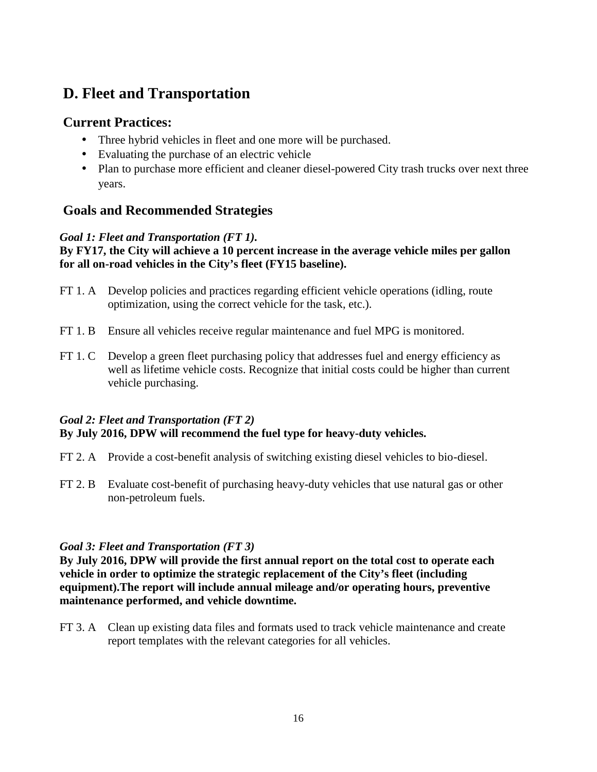# **D. Fleet and Transportation**

### **Current Practices:**

- Three hybrid vehicles in fleet and one more will be purchased.
- Evaluating the purchase of an electric vehicle
- Plan to purchase more efficient and cleaner diesel-powered City trash trucks over next three years.

### **Goals and Recommended Strategies**

### *Goal 1: Fleet and Transportation (FT 1).*

#### **By FY17, the City will achieve a 10 percent increase in the average vehicle miles per gallon for all on-road vehicles in the City's fleet (FY15 baseline).**

- FT 1. A Develop policies and practices regarding efficient vehicle operations (idling, route optimization, using the correct vehicle for the task, etc.).
- FT 1. B Ensure all vehicles receive regular maintenance and fuel MPG is monitored.
- FT 1. C Develop a green fleet purchasing policy that addresses fuel and energy efficiency as well as lifetime vehicle costs. Recognize that initial costs could be higher than current vehicle purchasing.

### *Goal 2: Fleet and Transportation (FT 2)* **By July 2016, DPW will recommend the fuel type for heavy-duty vehicles.**

- FT 2. A Provide a cost-benefit analysis of switching existing diesel vehicles to bio-diesel.
- FT 2. B Evaluate cost-benefit of purchasing heavy-duty vehicles that use natural gas or other non-petroleum fuels.

### *Goal 3: Fleet and Transportation (FT 3)*

**By July 2016, DPW will provide the first annual report on the total cost to operate each vehicle in order to optimize the strategic replacement of the City's fleet (including equipment).The report will include annual mileage and/or operating hours, preventive maintenance performed, and vehicle downtime.**

FT 3. A Clean up existing data files and formats used to track vehicle maintenance and create report templates with the relevant categories for all vehicles.